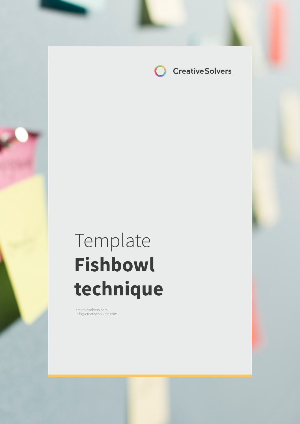

# Template **Fishbowl technique**

creativesolvers.com info@creativesolvers.com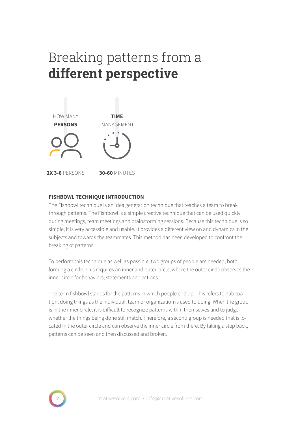# Breaking patterns from a **different perspective**



### **FISHBOWL TECHNIQUE INTRODUCTION**

The Fishbowl technique is an idea generation technique that teaches a team to break through patterns. The Fishbowl is a simple creative technique that can be used quickly during meetings, team meetings and brainstorming sessions. Because this technique is so simple, it is very accessible and usable. It provides a different view on and dynamics in the subjects and towards the teammates. This method has been developed to confront the breaking of patterns.

To perform this technique as well as possible, two groups of people are needed, both forming a circle. This requires an inner and outer circle, where the outer circle observes the inner circle for behaviors, statements and actions.

The term fishbowl stands for the patterns in which people end up. This refers to habituation, doing things as the individual, team or organization is used to doing. When the group is in the inner circle, it is difficult to recognize patterns within themselves and to judge whether the things being done still match. Therefore, a second group is needed that is located in the outer circle and can observe the inner circle from there. By taking a step back, patterns can be seen and then discussed and broken.

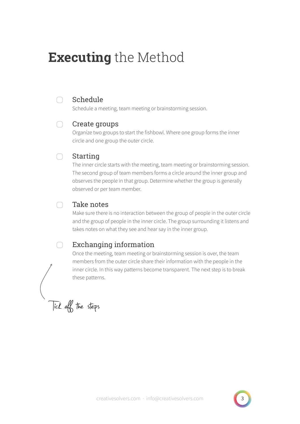# **Executing** the Method



### Schedule

Schedule a meeting, team meeting or brainstorming session.

#### Create groups  $\bigcap$

Organize two groups to start the fishbowl. Where one group forms the inner circle and one group the outer circle.

#### Starting  $\bigcap$

The inner circle starts with the meeting, team meeting or brainstorming session. The second group of team members forms a circle around the inner group and observes the people in that group. Determine whether the group is generally observed or per team member.

#### Take notes ∩

Make sure there is no interaction between the group of people in the outer circle and the group of people in the inner circle. The group surrounding it listens and takes notes on what they see and hear say in the inner group.

## Exchanging information

Once the meeting, team meeting or brainstorming session is over, the team members from the outer circle share their information with the people in the inner circle. In this way patterns become transparent. The next step is to break these patterns.

Tick off the steps

∩